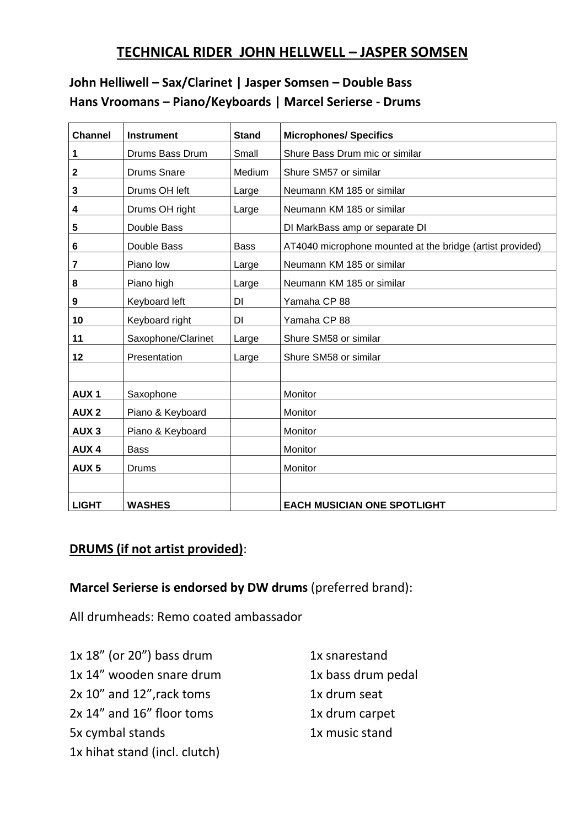# **TECHNICAL RIDER JOHN HELLWELL – JASPER SOMSEN**

# **John Helliwell – Sax/Clarinet | Jasper Somsen – Double Bass Hans Vroomans – Piano/Keyboards | Marcel Serierse - Drums**

| <b>Channel</b>   | <b>Instrument</b>  | <b>Stand</b> | <b>Microphones/ Specifics</b>                             |
|------------------|--------------------|--------------|-----------------------------------------------------------|
| 1                | Drums Bass Drum    | Small        | Shure Bass Drum mic or similar                            |
| $\mathbf 2$      | <b>Drums Snare</b> | Medium       | Shure SM57 or similar                                     |
| 3                | Drums OH left      | Large        | Neumann KM 185 or similar                                 |
| 4                | Drums OH right     | Large        | Neumann KM 185 or similar                                 |
| 5                | Double Bass        |              | DI MarkBass amp or separate DI                            |
| 6                | Double Bass        | <b>Bass</b>  | AT4040 microphone mounted at the bridge (artist provided) |
| 7                | Piano low          | Large        | Neumann KM 185 or similar                                 |
| 8                | Piano high         | Large        | Neumann KM 185 or similar                                 |
| 9                | Keyboard left      | DI           | Yamaha CP 88                                              |
| 10               | Keyboard right     | DI           | Yamaha CP 88                                              |
| 11               | Saxophone/Clarinet | Large        | Shure SM58 or similar                                     |
| 12               | Presentation       | Large        | Shure SM58 or similar                                     |
|                  |                    |              |                                                           |
| <b>AUX1</b>      | Saxophone          |              | Monitor                                                   |
| <b>AUX2</b>      | Piano & Keyboard   |              | Monitor                                                   |
| AUX <sub>3</sub> | Piano & Keyboard   |              | Monitor                                                   |
| <b>AUX4</b>      | <b>Bass</b>        |              | Monitor                                                   |
| AUX <sub>5</sub> | Drums              |              | Monitor                                                   |
|                  |                    |              |                                                           |
| <b>LIGHT</b>     | <b>WASHES</b>      |              | <b>EACH MUSICIAN ONE SPOTLIGHT</b>                        |

#### **DRUMS (if not artist provided)**:

#### **Marcel Serierse is endorsed by DW drums** (preferred brand):

All drumheads: Remo coated ambassador

| $1x 18"$ (or 20") bass drum   | 1x snarestand      |
|-------------------------------|--------------------|
| 1x 14" wooden snare drum      | 1x bass drum pedal |
| 2x 10" and 12", rack toms     | 1x drum seat       |
| 2x 14" and 16" floor toms     | 1x drum carpet     |
| 5x cymbal stands              | 1x music stand     |
| 1x hihat stand (incl. clutch) |                    |
|                               |                    |